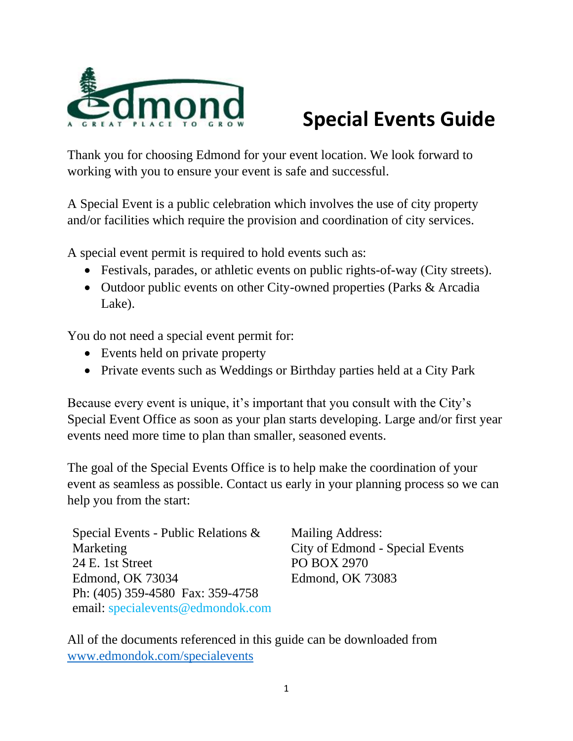

# **Special Events Guide**

Thank you for choosing Edmond for your event location. We look forward to working with you to ensure your event is safe and successful.

A Special Event is a public celebration which involves the use of city property and/or facilities which require the provision and coordination of city services.

A special event permit is required to hold events such as:

- Festivals, parades, or athletic events on public rights-of-way (City streets).
- Outdoor public events on other City-owned properties (Parks & Arcadia Lake).

You do not need a special event permit for:

- Events held on private property
- Private events such as Weddings or Birthday parties held at a City Park

Because every event is unique, it's important that you consult with the City's Special Event Office as soon as your plan starts developing. Large and/or first year events need more time to plan than smaller, seasoned events.

The goal of the Special Events Office is to help make the coordination of your event as seamless as possible. Contact us early in your planning process so we can help you from the start:

Special Events - Public Relations & Marketing 24 E. 1st Street Edmond, OK 73034 Ph: (405) 359-4580 Fax: 359-4758 email: specialevents@edmondok.com

Mailing Address: City of Edmond - Special Events PO BOX 2970 Edmond, OK 73083

All of the documents referenced in this guide can be downloaded from [www.edmondok.com/specialevents](http://www.edmondok.com/specialevents)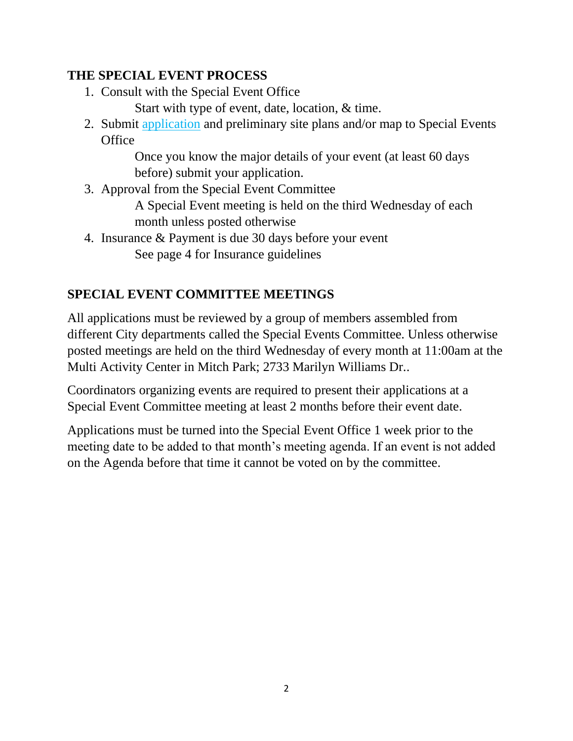#### **THE SPECIAL EVENT PROCESS**

- 1. Consult with the Special Event Office
	- Start with type of event, date, location, & time.
- 2. Submit application and preliminary site plans and/or map to Special Events **Office**

Once you know the major details of your event (at least 60 days before) submit your application.

3. Approval from the Special Event Committee

A Special Event meeting is held on the third Wednesday of each month unless posted otherwise

4. Insurance & Payment is due 30 days before your event See page 4 for Insurance guidelines

# **SPECIAL EVENT COMMITTEE MEETINGS**

All applications must be reviewed by a group of members assembled from different City departments called the Special Events Committee. Unless otherwise posted meetings are held on the third Wednesday of every month at 11:00am at the Multi Activity Center in Mitch Park; 2733 Marilyn Williams Dr..

Coordinators organizing events are required to present their applications at a Special Event Committee meeting at least 2 months before their event date.

Applications must be turned into the Special Event Office 1 week prior to the meeting date to be added to that month's meeting agenda. If an event is not added on the Agenda before that time it cannot be voted on by the committee.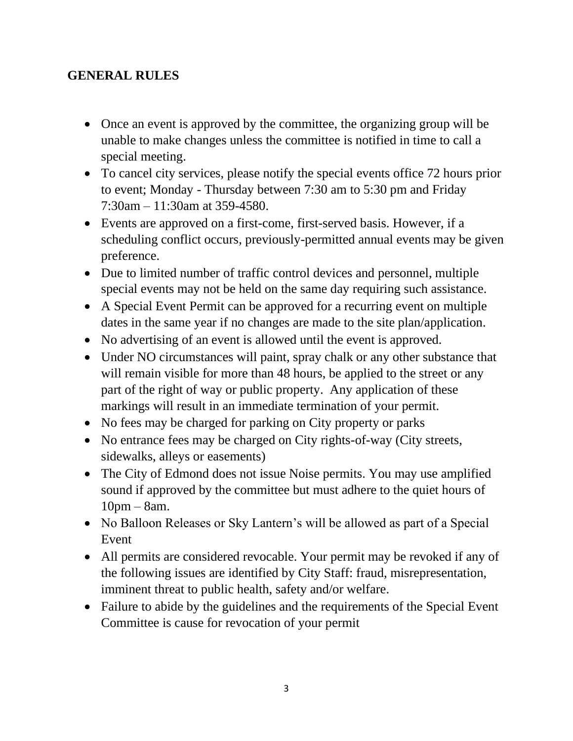#### **GENERAL RULES**

- Once an event is approved by the committee, the organizing group will be unable to make changes unless the committee is notified in time to call a special meeting.
- To cancel city services, please notify the special events office 72 hours prior to event; Monday - Thursday between 7:30 am to 5:30 pm and Friday 7:30am – 11:30am at 359-4580.
- Events are approved on a first-come, first-served basis. However, if a scheduling conflict occurs, previously-permitted annual events may be given preference.
- Due to limited number of traffic control devices and personnel, multiple special events may not be held on the same day requiring such assistance.
- A Special Event Permit can be approved for a recurring event on multiple dates in the same year if no changes are made to the site plan/application.
- No advertising of an event is allowed until the event is approved.
- Under NO circumstances will paint, spray chalk or any other substance that will remain visible for more than 48 hours, be applied to the street or any part of the right of way or public property. Any application of these markings will result in an immediate termination of your permit.
- No fees may be charged for parking on City property or parks
- No entrance fees may be charged on City rights-of-way (City streets, sidewalks, alleys or easements)
- The City of Edmond does not issue Noise permits. You may use amplified sound if approved by the committee but must adhere to the quiet hours of 10pm – 8am.
- No Balloon Releases or Sky Lantern's will be allowed as part of a Special Event
- All permits are considered revocable. Your permit may be revoked if any of the following issues are identified by City Staff: fraud, misrepresentation, imminent threat to public health, safety and/or welfare.
- Failure to abide by the guidelines and the requirements of the Special Event Committee is cause for revocation of your permit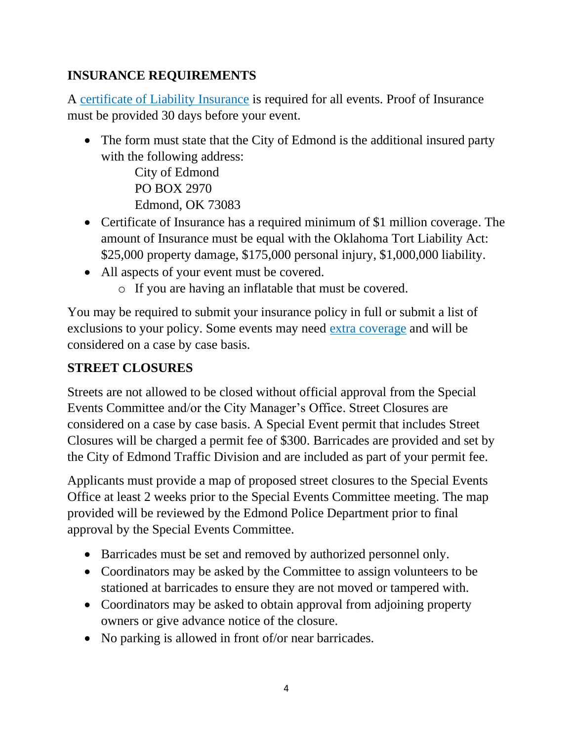# **INSURANCE REQUIREMENTS**

A certificate of Liability Insurance is required for all events. Proof of Insurance must be provided 30 days before your event.

• The form must state that the City of Edmond is the additional insured party with the following address:

City of Edmond PO BOX 2970 Edmond, OK 73083

- Certificate of Insurance has a required minimum of \$1 million coverage. The amount of Insurance must be equal with the Oklahoma Tort Liability Act: \$25,000 property damage, \$175,000 personal injury, \$1,000,000 liability.
- All aspects of your event must be covered.
	- o If you are having an inflatable that must be covered.

You may be required to submit your insurance policy in full or submit a list of exclusions to your policy. Some events may need extra coverage and will be considered on a case by case basis.

#### **STREET CLOSURES**

Streets are not allowed to be closed without official approval from the Special Events Committee and/or the City Manager's Office. Street Closures are considered on a case by case basis. A Special Event permit that includes Street Closures will be charged a permit fee of \$300. Barricades are provided and set by the City of Edmond Traffic Division and are included as part of your permit fee.

Applicants must provide a map of proposed street closures to the Special Events Office at least 2 weeks prior to the Special Events Committee meeting. The map provided will be reviewed by the Edmond Police Department prior to final approval by the Special Events Committee.

- Barricades must be set and removed by authorized personnel only.
- Coordinators may be asked by the Committee to assign volunteers to be stationed at barricades to ensure they are not moved or tampered with.
- Coordinators may be asked to obtain approval from adjoining property owners or give advance notice of the closure.
- No parking is allowed in front of/or near barricades.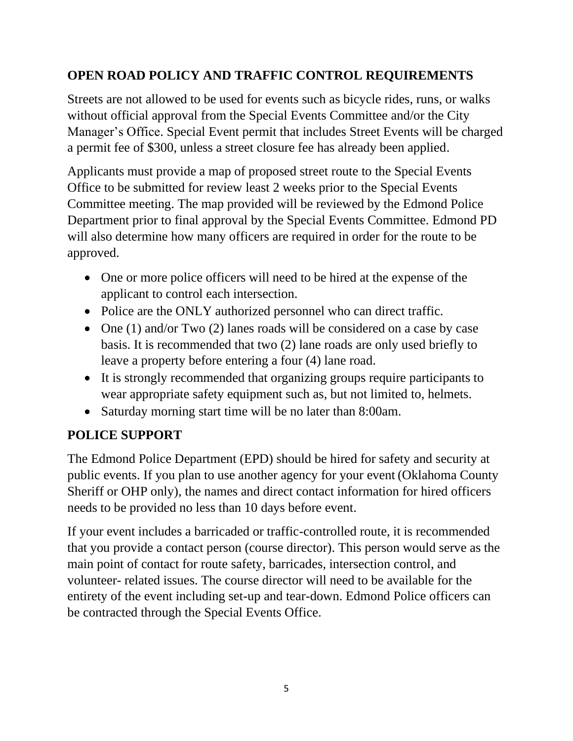## **OPEN ROAD POLICY AND TRAFFIC CONTROL REQUIREMENTS**

Streets are not allowed to be used for events such as bicycle rides, runs, or walks without official approval from the Special Events Committee and/or the City Manager's Office. Special Event permit that includes Street Events will be charged a permit fee of \$300, unless a street closure fee has already been applied.

Applicants must provide a map of proposed street route to the Special Events Office to be submitted for review least 2 weeks prior to the Special Events Committee meeting. The map provided will be reviewed by the Edmond Police Department prior to final approval by the Special Events Committee. Edmond PD will also determine how many officers are required in order for the route to be approved.

- One or more police officers will need to be hired at the expense of the applicant to control each intersection.
- Police are the ONLY authorized personnel who can direct traffic.
- One (1) and/or Two (2) lanes roads will be considered on a case by case basis. It is recommended that two (2) lane roads are only used briefly to leave a property before entering a four (4) lane road.
- It is strongly recommended that organizing groups require participants to wear appropriate safety equipment such as, but not limited to, helmets.
- Saturday morning start time will be no later than 8:00am.

# **POLICE SUPPORT**

The Edmond Police Department (EPD) should be hired for safety and security at public events. If you plan to use another agency for your event (Oklahoma County Sheriff or OHP only), the names and direct contact information for hired officers needs to be provided no less than 10 days before event.

If your event includes a barricaded or traffic-controlled route, it is recommended that you provide a contact person (course director). This person would serve as the main point of contact for route safety, barricades, intersection control, and volunteer- related issues. The course director will need to be available for the entirety of the event including set-up and tear-down. Edmond Police officers can be contracted through the Special Events Office.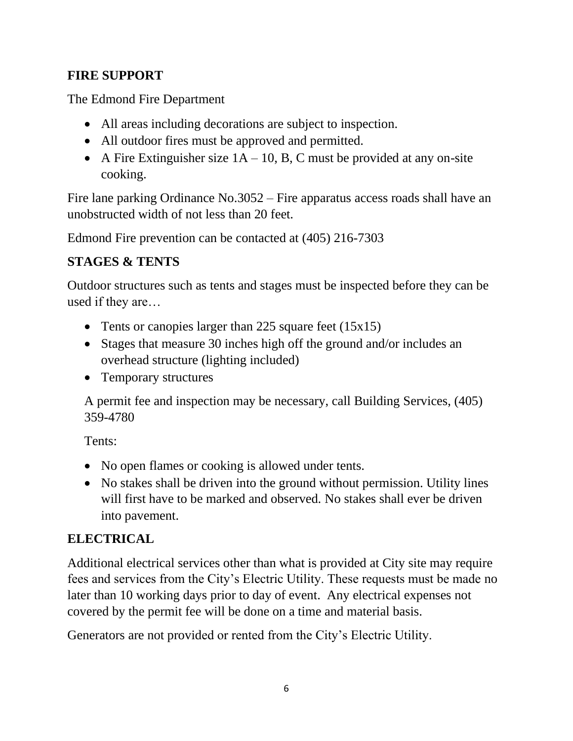### **FIRE SUPPORT**

The Edmond Fire Department

- All areas including decorations are subject to inspection.
- All outdoor fires must be approved and permitted.
- A Fire Extinguisher size  $1A 10$ , B, C must be provided at any on-site cooking.

Fire lane parking Ordinance No.3052 – Fire apparatus access roads shall have an unobstructed width of not less than 20 feet.

Edmond Fire prevention can be contacted at (405) 216-7303

# **STAGES & TENTS**

Outdoor structures such as tents and stages must be inspected before they can be used if they are…

- Tents or canopies larger than 225 square feet (15x15)
- Stages that measure 30 inches high off the ground and/or includes an overhead structure (lighting included)
- Temporary structures

A permit fee and inspection may be necessary, call Building Services, (405) 359-4780

Tents:

- No open flames or cooking is allowed under tents.
- No stakes shall be driven into the ground without permission. Utility lines will first have to be marked and observed. No stakes shall ever be driven into pavement.

# **ELECTRICAL**

Additional electrical services other than what is provided at City site may require fees and services from the City's Electric Utility. These requests must be made no later than 10 working days prior to day of event. Any electrical expenses not covered by the permit fee will be done on a time and material basis.

Generators are not provided or rented from the City's Electric Utility.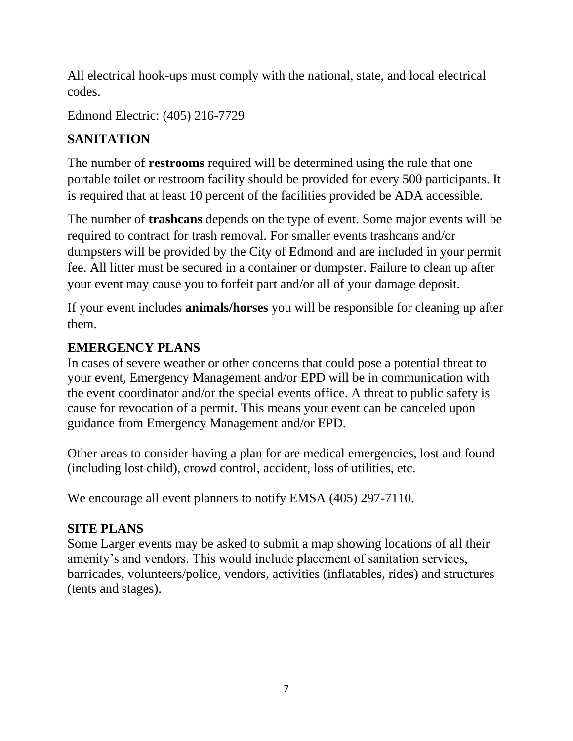All electrical hook-ups must comply with the national, state, and local electrical codes.

Edmond Electric: (405) 216-7729

# **SANITATION**

The number of **restrooms** required will be determined using the rule that one portable toilet or restroom facility should be provided for every 500 participants. It is required that at least 10 percent of the facilities provided be ADA accessible.

The number of **trashcans** depends on the type of event. Some major events will be required to contract for trash removal. For smaller events trashcans and/or dumpsters will be provided by the City of Edmond and are included in your permit fee. All litter must be secured in a container or dumpster. Failure to clean up after your event may cause you to forfeit part and/or all of your damage deposit.

If your event includes **animals/horses** you will be responsible for cleaning up after them.

### **EMERGENCY PLANS**

In cases of severe weather or other concerns that could pose a potential threat to your event, Emergency Management and/or EPD will be in communication with the event coordinator and/or the special events office. A threat to public safety is cause for revocation of a permit. This means your event can be canceled upon guidance from Emergency Management and/or EPD.

Other areas to consider having a plan for are medical emergencies, lost and found (including lost child), crowd control, accident, loss of utilities, etc.

We encourage all event planners to notify EMSA (405) 297-7110.

### **SITE PLANS**

Some Larger events may be asked to submit a map showing locations of all their amenity's and vendors. This would include placement of sanitation services, barricades, volunteers/police, vendors, activities (inflatables, rides) and structures (tents and stages).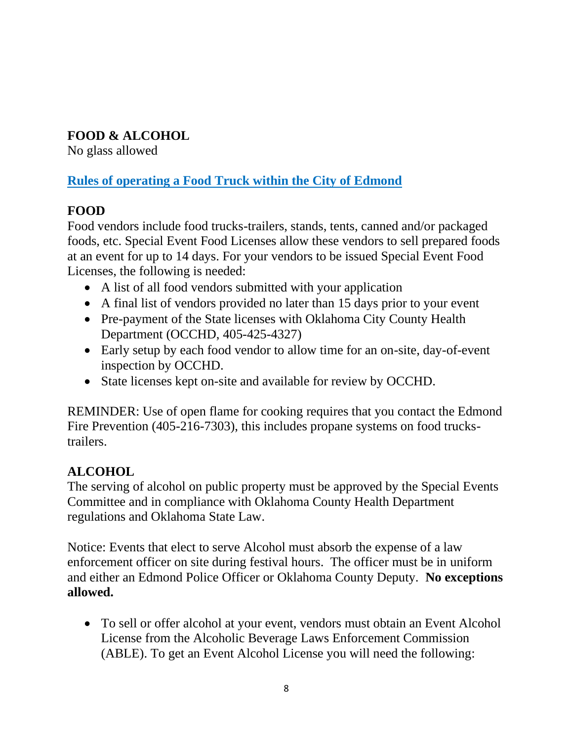## **FOOD & ALCOHOL**

No glass allowed

## **Rules of operating a Food Truck within the City of Edmond**

# **FOOD**

Food vendors include food trucks-trailers, stands, tents, canned and/or packaged foods, etc. Special Event Food Licenses allow these vendors to sell prepared foods at an event for up to 14 days. For your vendors to be issued Special Event Food Licenses, the following is needed:

- A list of all food vendors submitted with your application
- A final list of vendors provided no later than 15 days prior to your event
- Pre-payment of the State licenses with Oklahoma City County Health Department (OCCHD, 405-425-4327)
- Early setup by each food vendor to allow time for an on-site, day-of-event inspection by OCCHD.
- State licenses kept on-site and available for review by OCCHD.

REMINDER: Use of open flame for cooking requires that you contact the Edmond Fire Prevention (405-216-7303), this includes propane systems on food truckstrailers.

# **ALCOHOL**

The serving of alcohol on public property must be approved by the Special Events Committee and in compliance with Oklahoma County Health Department regulations and Oklahoma State Law.

Notice: Events that elect to serve Alcohol must absorb the expense of a law enforcement officer on site during festival hours. The officer must be in uniform and either an Edmond Police Officer or Oklahoma County Deputy. **No exceptions allowed.**

• To sell or offer alcohol at your event, vendors must obtain an Event Alcohol License from the Alcoholic Beverage Laws Enforcement Commission (ABLE). To get an Event Alcohol License you will need the following: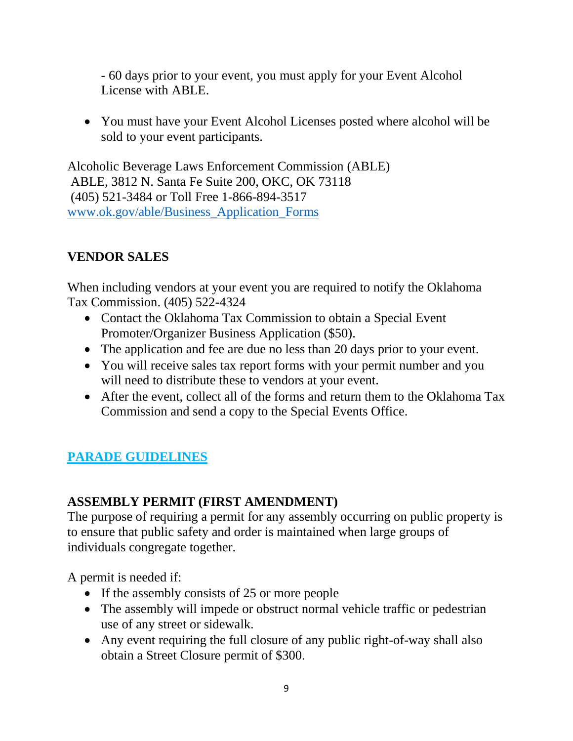- 60 days prior to your event, you must apply for your Event Alcohol License with ABLE.

• You must have your Event Alcohol Licenses posted where alcohol will be sold to your event participants.

Alcoholic Beverage Laws Enforcement Commission (ABLE) ABLE, 3812 N. Santa Fe Suite 200, OKC, OK 73118 (405) 521-3484 or Toll Free 1-866-894-3517 [www.ok.gov/able/Business\\_Application\\_Forms](file://///coent.edmondok.com/ADS/Sarah/Special%20Events/01_Special%20Event%20Packet/Forms%20&%20Guidelines/Guidelines/www.ok.gov/able/Business_Application_Forms) 

### **VENDOR SALES**

When including vendors at your event you are required to notify the Oklahoma Tax Commission. (405) 522-4324

- Contact the Oklahoma Tax Commission to obtain a Special Event Promoter/Organizer Business Application (\$50).
- The application and fee are due no less than 20 days prior to your event.
- You will receive sales tax report forms with your permit number and you will need to distribute these to vendors at your event.
- After the event, collect all of the forms and return them to the Oklahoma Tax Commission and send a copy to the Special Events Office.

# **PARADE GUIDELINES**

#### **ASSEMBLY PERMIT (FIRST AMENDMENT)**

The purpose of requiring a permit for any assembly occurring on public property is to ensure that public safety and order is maintained when large groups of individuals congregate together.

A permit is needed if:

- If the assembly consists of 25 or more people
- The assembly will impede or obstruct normal vehicle traffic or pedestrian use of any street or sidewalk.
- Any event requiring the full closure of any public right-of-way shall also obtain a Street Closure permit of \$300.